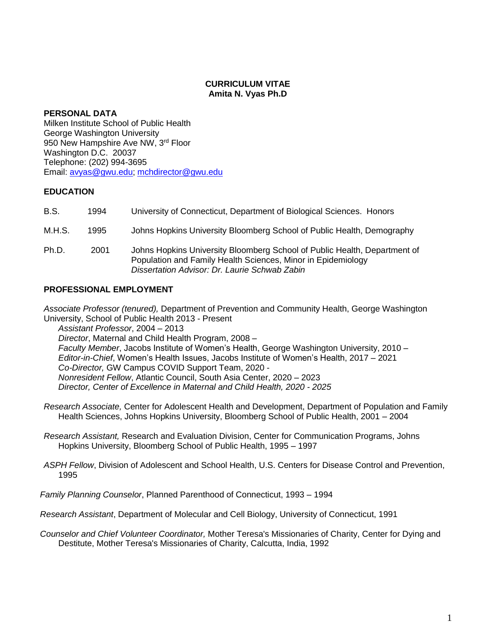## **CURRICULUM VITAE Amita N. Vyas Ph.D**

## **PERSONAL DATA**

Milken Institute School of Public Health George Washington University 950 New Hampshire Ave NW, 3rd Floor Washington D.C. 20037 Telephone: (202) 994-3695 Email: [avyas@gwu.edu;](mailto:avyas@gwu.edu) [mchdirector@gwu.edu](mailto:mchdirector@gwu.edu)

# **EDUCATION**

| B.S.   | 1994 | University of Connecticut, Department of Biological Sciences. Honors                                                                                                                       |
|--------|------|--------------------------------------------------------------------------------------------------------------------------------------------------------------------------------------------|
| M.H.S. | 1995 | Johns Hopkins University Bloomberg School of Public Health, Demography                                                                                                                     |
| Ph.D.  | 2001 | Johns Hopkins University Bloomberg School of Public Health, Department of<br>Population and Family Health Sciences, Minor in Epidemiology<br>Dissertation Advisor: Dr. Laurie Schwab Zabin |

# **PROFESSIONAL EMPLOYMENT**

*Associate Professor (tenured),* Department of Prevention and Community Health, George Washington University, School of Public Health 2013 - Present

*Assistant Professor*, 2004 – 2013 *Director*, Maternal and Child Health Program, 2008 – *Faculty Member*, Jacobs Institute of Women's Health, George Washington University, 2010 – *Editor-in-Chief*, Women's Health Issues, Jacobs Institute of Women's Health, 2017 – 2021 *Co-Director,* GW Campus COVID Support Team, 2020 - *Nonresident Fellow*, Atlantic Council, South Asia Center, 2020 – 2023 *Director, Center of Excellence in Maternal and Child Health, 2020 - 2025*

*Research Associate,* Center for Adolescent Health and Development, Department of Population and Family Health Sciences, Johns Hopkins University, Bloomberg School of Public Health, 2001 – 2004

*Research Assistant,* Research and Evaluation Division, Center for Communication Programs, Johns Hopkins University, Bloomberg School of Public Health, 1995 – 1997

*ASPH Fellow*, Division of Adolescent and School Health, U.S. Centers for Disease Control and Prevention, 1995

*Family Planning Counselor*, Planned Parenthood of Connecticut, 1993 – 1994

*Research Assistant*, Department of Molecular and Cell Biology, University of Connecticut, 1991

*Counselor and Chief Volunteer Coordinator,* Mother Teresa's Missionaries of Charity, Center for Dying and Destitute, Mother Teresa's Missionaries of Charity, Calcutta, India, 1992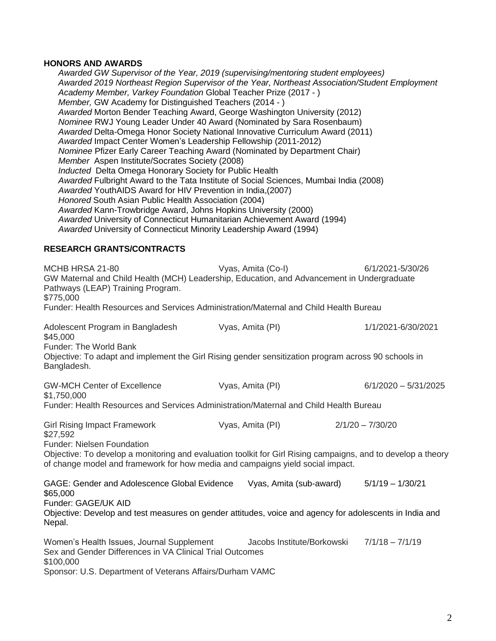### **HONORS AND AWARDS**

*Awarded GW Supervisor of the Year, 2019 (supervising/mentoring student employees) Awarded 2019 Northeast Region Supervisor of the Year, Northeast Association/Student Employment Academy Member, Varkey Foundation* Global Teacher Prize (2017 - ) *Member,* GW Academy for Distinguished Teachers (2014 - ) *Awarded* Morton Bender Teaching Award, George Washington University (2012) *Nominee* RWJ Young Leader Under 40 Award (Nominated by Sara Rosenbaum) *Awarded* Delta-Omega Honor Society National Innovative Curriculum Award (2011) *Awarded* Impact Center Women's Leadership Fellowship (2011-2012) *Nominee* Pfizer Early Career Teaching Award (Nominated by Department Chair) *Member* Aspen Institute/Socrates Society (2008) *Inducted* Delta Omega Honorary Society for Public Health *Awarded* Fulbright Award to the Tata Institute of Social Sciences, Mumbai India (2008) *Awarded* YouthAIDS Award for HIV Prevention in India,(2007) *Honored* South Asian Public Health Association (2004) *Awarded* Kann-Trowbridge Award, Johns Hopkins University (2000) *Awarded* University of Connecticut Humanitarian Achievement Award (1994) *Awarded* University of Connecticut Minority Leadership Award (1994) **RESEARCH GRANTS/CONTRACTS** MCHB HRSA 21-80 Vyas, Amita (Co-I) 6/1/2021-5/30/26 GW Maternal and Child Health (MCH) Leadership, Education, and Advancement in Undergraduate Pathways (LEAP) Training Program.

\$775,000

Funder: Health Resources and Services Administration/Maternal and Child Health Bureau

| Adolescent Program in Bangladesh<br>\$45,000                                                                       | Vyas, Amita (PI) | 1/1/2021-6/30/2021     |
|--------------------------------------------------------------------------------------------------------------------|------------------|------------------------|
| Funder: The World Bank                                                                                             |                  |                        |
| Objective: To adapt and implement the Girl Rising gender sensitization program across 90 schools in<br>Bangladesh. |                  |                        |
| <b>GW-MCH Center of Excellence</b><br>\$1,750,000                                                                  | Vyas, Amita (PI) | $6/1/2020 - 5/31/2025$ |

Funder: Health Resources and Services Administration/Maternal and Child Health Bureau

Girl Rising Impact Framework Vyas, Amita (PI) 2/1/20 – 7/30/20

\$27,592

Funder: Nielsen Foundation

Objective: To develop a monitoring and evaluation toolkit for Girl Rising campaigns, and to develop a theory of change model and framework for how media and campaigns yield social impact.

GAGE: Gender and Adolescence Global Evidence Vyas, Amita (sub-award) 5/1/19 – 1/30/21 \$65,000 Funder: GAGE/UK AID Objective: Develop and test measures on gender attitudes, voice and agency for adolescents in India and Nepal.

Women's Health Issues, Journal Supplement Jacobs Institute/Borkowski 7/1/18 – 7/1/19 Sex and Gender Differences in VA Clinical Trial Outcomes \$100,000 Sponsor: U.S. Department of Veterans Affairs/Durham VAMC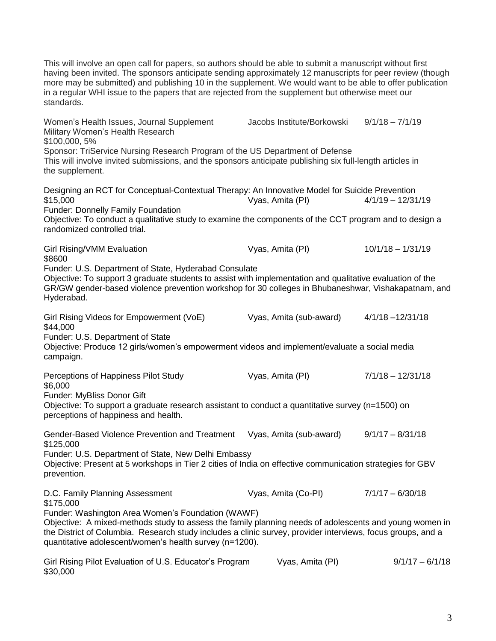This will involve an open call for papers, so authors should be able to submit a manuscript without first having been invited. The sponsors anticipate sending approximately 12 manuscripts for peer review (though more may be submitted) and publishing 10 in the supplement. We would want to be able to offer publication in a regular WHI issue to the papers that are rejected from the supplement but otherwise meet our standards. Women's Health Issues, Journal Supplement Jacobs Institute/Borkowski 9/1/18 – 7/1/19 Military Women's Health Research \$100,000, 5% Sponsor: TriService Nursing Research Program of the US Department of Defense This will involve invited submissions, and the sponsors anticipate publishing six full-length articles in the supplement. Designing an RCT for Conceptual-Contextual Therapy: An Innovative Model for Suicide Prevention<br>\$15,000 4/1/19 – 12/31/19  $$15,000$  Vyas, Amita (PI) Funder: Donnelly Family Foundation Objective: To conduct a qualitative study to examine the components of the CCT program and to design a randomized controlled trial. Girl Rising/VMM Evaluation **Container Container Container Vyas, Amita (PI)** 10/1/18 – 1/31/19 \$8600 Funder: U.S. Department of State, Hyderabad Consulate Objective: To support 3 graduate students to assist with implementation and qualitative evaluation of the GR/GW gender-based violence prevention workshop for 30 colleges in Bhubaneshwar, Vishakapatnam, and Hyderabad. Girl Rising Videos for Empowerment (VoE) Vyas, Amita (sub-award) 4/1/18 –12/31/18 \$44,000 Funder: U.S. Department of State Objective: Produce 12 girls/women's empowerment videos and implement/evaluate a social media campaign. Perceptions of Happiness Pilot Study Vyas, Amita (PI) 7/1/18 – 12/31/18 \$6,000 Funder: MyBliss Donor Gift Objective: To support a graduate research assistant to conduct a quantitative survey (n=1500) on perceptions of happiness and health. Gender-Based Violence Prevention and Treatment Vyas, Amita (sub-award) 9/1/17 - 8/31/18 \$125,000 Funder: U.S. Department of State, New Delhi Embassy Objective: Present at 5 workshops in Tier 2 cities of India on effective communication strategies for GBV prevention. D.C. Family Planning Assessment Vyas, Amita (Co-PI) 7/1/17 - 6/30/18 \$175,000 Funder: Washington Area Women's Foundation (WAWF) Objective: A mixed-methods study to assess the family planning needs of adolescents and young women in the District of Columbia. Research study includes a clinic survey, provider interviews, focus groups, and a quantitative adolescent/women's health survey (n=1200). Girl Rising Pilot Evaluation of U.S. Educator's Program Vyas, Amita (PI) 9/1/17 – 6/1/18

\$30,000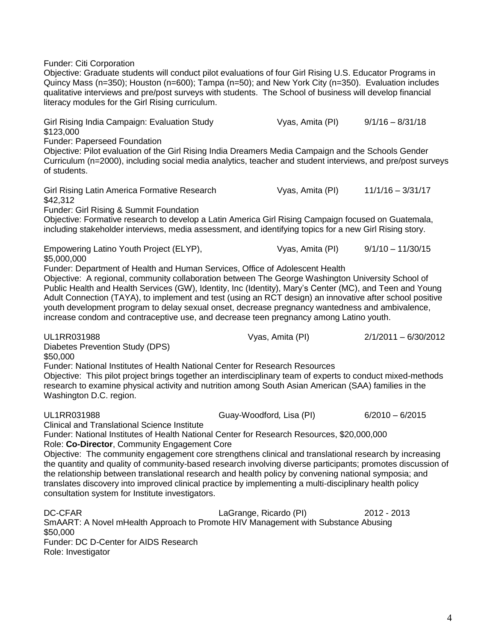Funder: Citi Corporation

Objective: Graduate students will conduct pilot evaluations of four Girl Rising U.S. Educator Programs in Quincy Mass (n=350); Houston (n=600); Tampa (n=50); and New York City (n=350). Evaluation includes qualitative interviews and pre/post surveys with students. The School of business will develop financial literacy modules for the Girl Rising curriculum.

Girl Rising India Campaign: Evaluation Study Vyas, Amita (PI) 9/1/16 - 8/31/18 \$123,000 Funder: Paperseed Foundation Objective: Pilot evaluation of the Girl Rising India Dreamers Media Campaign and the Schools Gender Curriculum (n=2000), including social media analytics, teacher and student interviews, and pre/post surveys of students. Girl Rising Latin America Formative Research Vyas, Amita (PI) 11/1/16 - 3/31/17 \$42,312 Funder: Girl Rising & Summit Foundation Objective: Formative research to develop a Latin America Girl Rising Campaign focused on Guatemala, including stakeholder interviews, media assessment, and identifying topics for a new Girl Rising story. Empowering Latino Youth Project (ELYP), Vyas, Amita (PI) 9/1/10 - 11/30/15 \$5,000,000 Funder: Department of Health and Human Services, Office of Adolescent Health Objective: A regional, community collaboration between The George Washington University School of Public Health and Health Services (GW), Identity, Inc (Identity), Mary's Center (MC), and Teen and Young Adult Connection (TAYA), to implement and test (using an RCT design) an innovative after school positive youth development program to delay sexual onset, decrease pregnancy wantedness and ambivalence, increase condom and contraceptive use, and decrease teen pregnancy among Latino youth. UL1RR031988 Vyas, Amita (PI) 2/1/2011 – 6/30/2012 Diabetes Prevention Study (DPS) \$50,000 Funder: National Institutes of Health National Center for Research Resources Objective: This pilot project brings together an interdisciplinary team of experts to conduct mixed-methods research to examine physical activity and nutrition among South Asian American (SAA) families in the Washington D.C. region. UL1RR031988 Guay-Woodford*,* Lisa (PI) 6/2010 – 6/2015 Clinical and Translational Science Institute Funder: National Institutes of Health National Center for Research Resources, \$20,000,000 Role: **Co-Director**, Community Engagement Core Objective: The community engagement core strengthens clinical and translational research by increasing the quantity and quality of community-based research involving diverse participants; promotes discussion of the relationship between translational research and health policy by convening national symposia; and translates discovery into improved clinical practice by implementing a multi-disciplinary health policy consultation system for Institute investigators. DC-CFAR LaGrange, Ricardo (PI) 2012 - 2013 SmAART: A Novel mHealth Approach to Promote HIV Management with Substance Abusing \$50,000 Funder: DC D-Center for AIDS Research Role: Investigator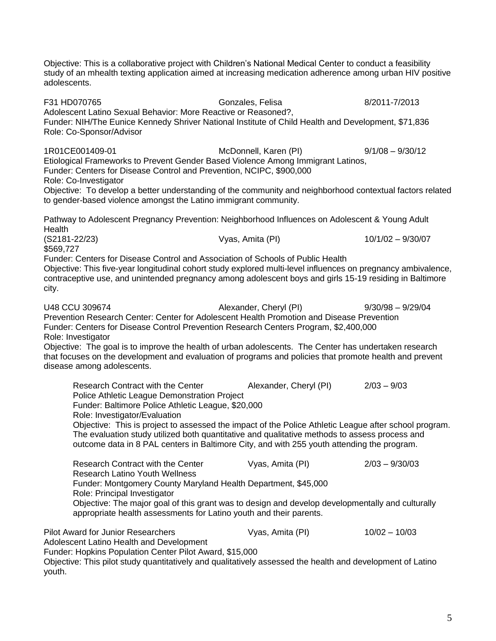Objective: This is a collaborative project with Children's National Medical Center to conduct a feasibility study of an mhealth texting application aimed at increasing medication adherence among urban HIV positive adolescents.

F31 HD070765 Gonzales, Felisa 8/2011-7/2013 Adolescent Latino Sexual Behavior: More Reactive or Reasoned?, Funder: NIH[/The Eunice Kennedy Shriver National Institute of Child H](http://www.google.com/url?sa=t&rct=j&q=&esrc=s&source=web&cd=1&ved=0CCAQFjAA&url=http%3A%2F%2Fwww.nichd.nih.gov%2F&ei=MBNlUJS9Be6v0AHL9oHICA&usg=AFQjCNFn0QZdr8FoA-UJpxzD88YaVs4IVQ)ealth and Development, \$71,836 Role: Co-Sponsor/Advisor 1R01CE001409-01 McDonnell, Karen (PI) 9/1/08 – 9/30/12 Etiological Frameworks to Prevent Gender Based Violence Among Immigrant Latinos, Funder: Centers for Disease Control and Prevention, NCIPC, \$900,000 Role: Co-Investigator Objective: To develop a better understanding of the community and neighborhood contextual factors related to gender-based violence amongst the Latino immigrant community. Pathway to Adolescent Pregnancy Prevention: Neighborhood Influences on Adolescent & Young Adult **Health** (S2181-22/23) Vyas, Amita (PI) 10/1/02 – 9/30/07 \$569,727 Funder: Centers for Disease Control and Association of Schools of Public Health Objective: This five-year longitudinal cohort study explored multi-level influences on pregnancy ambivalence, contraceptive use, and unintended pregnancy among adolescent boys and girls 15-19 residing in Baltimore city. U48 CCU 309674 Alexander, Cheryl (PI) 9/30/98 – 9/29/04 Prevention Research Center: Center for Adolescent Health Promotion and Disease Prevention Funder: Centers for Disease Control Prevention Research Centers Program, \$2,400,000 Role: Investigator Objective: The goal is to improve the health of urban adolescents. The Center has undertaken research that focuses on the development and evaluation of programs and policies that promote health and prevent disease among adolescents. Research Contract with the Center Alexander, Cheryl (PI) 2/03 – 9/03 Police Athletic League Demonstration Project Funder: Baltimore Police Athletic League, \$20,000 Role: Investigator/Evaluation Objective: This is project to assessed the impact of the Police Athletic League after school program. The evaluation study utilized both quantitative and qualitative methods to assess process and outcome data in 8 PAL centers in Baltimore City, and with 255 youth attending the program. Research Contract with the Center Vyas, Amita (PI) 2/03 – 9/30/03 Research Latino Youth Wellness Funder: Montgomery County Maryland Health Department, \$45,000 Role: Principal Investigator Objective: The major goal of this grant was to design and develop developmentally and culturally appropriate health assessments for Latino youth and their parents. Pilot Award for Junior Researchers Vyas, Amita (PI) 10/02 – 10/03 Adolescent Latino Health and Development Funder: Hopkins Population Center Pilot Award, \$15,000 Objective: This pilot study quantitatively and qualitatively assessed the health and development of Latino youth.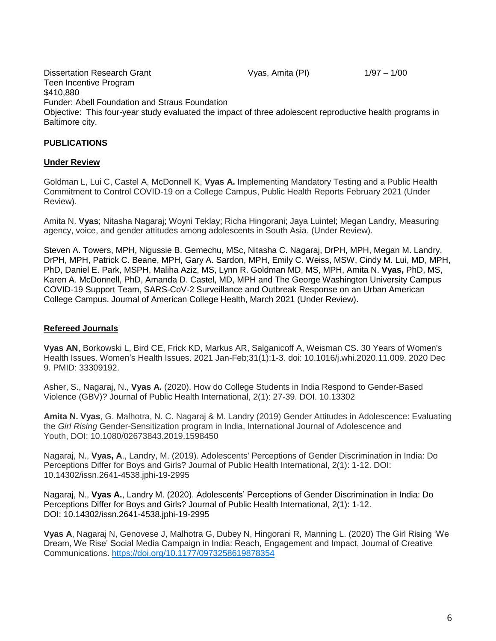Dissertation Research Grant The Contract Cyas, Amita (PI) 1/97 – 1/00 Teen Incentive Program \$410,880 Funder: Abell Foundation and Straus Foundation Objective: This four-year study evaluated the impact of three adolescent reproductive health programs in Baltimore city.

# **PUBLICATIONS**

## **Under Review**

Goldman L, Lui C, Castel A, McDonnell K, **Vyas A.** Implementing Mandatory Testing and a Public Health Commitment to Control COVID-19 on a College Campus, Public Health Reports February 2021 (Under Review).

Amita N. **Vyas**; Nitasha Nagaraj; Woyni Teklay; Richa Hingorani; Jaya Luintel; Megan Landry, Measuring agency, voice, and gender attitudes among adolescents in South Asia. (Under Review).

Steven A. Towers, MPH, Nigussie B. Gemechu, MSc, Nitasha C. Nagaraj, DrPH, MPH, Megan M. Landry, DrPH, MPH, Patrick C. Beane, MPH, Gary A. Sardon, MPH, Emily C. Weiss, MSW, Cindy M. Lui, MD, MPH, PhD, Daniel E. Park, MSPH, Maliha Aziz, MS, Lynn R. Goldman MD, MS, MPH, Amita N. **Vyas,** PhD, MS, Karen A. McDonnell, PhD, Amanda D. Castel, MD, MPH and The George Washington University Campus COVID-19 Support Team, SARS-CoV-2 Surveillance and Outbreak Response on an Urban American College Campus. Journal of American College Health, March 2021 (Under Review).

#### **Refereed Journals**

**Vyas AN**, Borkowski L, Bird CE, Frick KD, Markus AR, Salganicoff A, Weisman CS. 30 Years of Women's Health Issues. Women's Health Issues. 2021 Jan-Feb;31(1):1-3. doi: 10.1016/j.whi.2020.11.009. 2020 Dec 9. PMID: 33309192.

Asher, S., Nagaraj, N., **Vyas A.** (2020). How do College Students in India Respond to Gender-Based Violence (GBV)? Journal of Public Health International, 2(1): 27-39. DOI. 10.13302

**Amita N. Vyas**, G. Malhotra, N. C. Nagaraj & M. Landry (2019) Gender Attitudes in Adolescence: Evaluating the *Girl Rising* Gender-Sensitization program in India, International Journal of Adolescence and Youth, DOI: [10.1080/02673843.2019.1598450](https://doi.org/10.1080/02673843.2019.1598450)

Nagaraj, N., **Vyas, A**., Landry, M. (2019). Adolescents' Perceptions of Gender Discrimination in India: Do Perceptions Differ for Boys and Girls? Journal of Public Health International, 2(1): 1-12. DOI: 10.14302/issn.2641-4538.jphi-19-2995

Nagaraj, N., **Vyas A.**, Landry M. (2020). Adolescents' Perceptions of Gender Discrimination in India: Do Perceptions Differ for Boys and Girls? Journal of Public Health International, 2(1): 1-12. DOI: [10.14302/issn.2641-4538.jphi-19-2995](https://doi.org/10.14302/issn.2641-4538.jphi-19-2995)

**Vyas A**, Nagaraj N, Genovese J, Malhotra G, Dubey N, Hingorani R, Manning L. (2020) The Girl Rising 'We Dream, We Rise' Social Media Campaign in India: Reach, Engagement and Impact, Journal of Creative Communications. [https://doi.org/10.1177/0973258619878354](https://doi.org/10.1177%2F0973258619878354)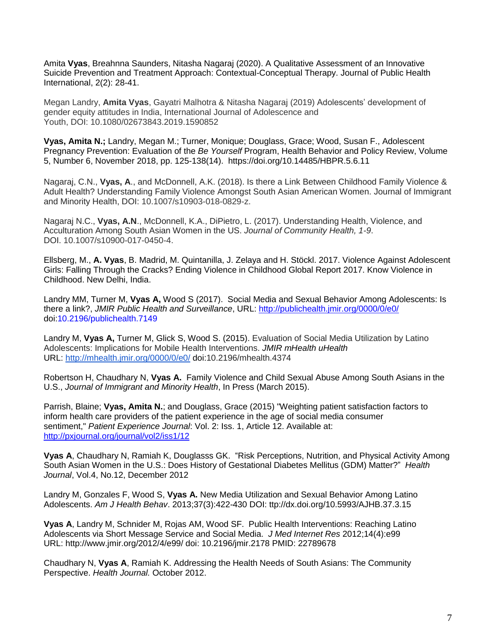Amita **Vyas**, Breahnna Saunders, Nitasha Nagaraj (2020). A Qualitative Assessment of an Innovative Suicide Prevention and Treatment Approach: Contextual-Conceptual Therapy. Journal of Public Health International, 2(2): 28-41.

Megan Landry, **Amita Vyas**, Gayatri Malhotra & Nitasha Nagaraj (2019) Adolescents' development of gender equity attitudes in India, International Journal of Adolescence and Youth, DOI: [10.1080/02673843.2019.1590852](https://doi.org/10.1080/02673843.2019.1590852)

**Vyas, [Amita](https://www.ingentaconnect.com/search?option2=author&value2=Vyas,+Amita+N.) N.;** [Landry, Megan M.;](https://www.ingentaconnect.com/search?option2=author&value2=Landry,+Megan+M.) [Turner, Monique;](https://www.ingentaconnect.com/search?option2=author&value2=Turner,+Monique) [Douglass, Grace;](https://www.ingentaconnect.com/search?option2=author&value2=Douglass,+Grace) [Wood, Susan F.,](https://www.ingentaconnect.com/search?option2=author&value2=Wood,+Susan+F.) Adolescent Pregnancy Prevention: Evaluation of the *Be Yourself* Program, [Health Behavior and Policy Review,](https://www.ingentaconnect.com/content/psp/hbpr) Volume 5, Number 6, November 2018, pp. 125-138(14). <https://doi.org/10.14485/HBPR.5.6.11>

Nagaraj, C.N., **Vyas, A**., and McDonnell, A.K. (2018). Is there a Link Between Childhood Family Violence & Adult Health? Understanding Family Violence Amongst South Asian American Women. Journal of Immigrant and Minority Health, DOI: 10.1007/s10903-018-0829-z.

Nagaraj N.C., **Vyas, A.N**., McDonnell, K.A., DiPietro, L. (2017). Understanding Health, Violence, and Acculturation Among South Asian Women in the US. *Journal of Community Health, 1-9*. DOI. 10.1007/s10900-017-0450-4.

Ellsberg, M., **A. Vyas**, B. Madrid, M. Quintanilla, J. Zelaya and H. Stöckl. 2017. Violence Against Adolescent Girls: Falling Through the Cracks? Ending Violence in Childhood Global Report 2017. Know Violence in Childhood. New Delhi, India.

Landry MM, Turner M, **Vyas A,** Wood S (2017). Social Media and Sexual Behavior Among Adolescents: Is there a link?, *JMIR Public Health and Surveillance*, URL:<http://publichealth.jmir.org/0000/0/e0/> doi:10.2196/publichealth.7149

Landry M, **Vyas A,** Turner M, Glick S, Wood S. (2015). Evaluation of Social Media Utilization by Latino Adolescents: Implications for Mobile Health Interventions. *JMIR mHealth uHealth* URL: <http://mhealth.jmir.org/0000/0/e0/> doi:10.2196/mhealth.4374

Robertson H, Chaudhary N, **Vyas A.** Family Violence and Child Sexual Abuse Among South Asians in the U.S., *Journal of Immigrant and Minority Health*, In Press (March 2015).

Parrish, Blaine; **Vyas, Amita N.**; and Douglass, Grace (2015) "Weighting patient satisfaction factors to inform health care providers of the patient experience in the age of social media consumer sentiment," *Patient Experience Journal*: Vol. 2: Iss. 1, Article 12. Available at: <http://pxjournal.org/journal/vol2/iss1/12>

**Vyas A**, Chaudhary N, Ramiah K, Douglasss GK. "Risk Perceptions, Nutrition, and Physical Activity Among South Asian Women in the U.S.: Does History of Gestational Diabetes Mellitus (GDM) Matter?" *Health Journal*, Vol.4, No.12, December 2012

Landry M, Gonzales F, Wood S, **Vyas A.** New Media Utilization and Sexual Behavior Among Latino Adolescents. *Am J Health Behav*. 2013;37(3):422-430 DOI: ttp:/[/dx.doi.org/10.5993/AJHB.37.3.15](http://dx.doi.org/10.5993/AJHB.37.3.15)

**Vyas A**, Landry M, Schnider M, Rojas AM, Wood SF. Public Health Interventions: Reaching Latino Adolescents via Short Message Service and Social Media. *J Med Internet Res* 2012;14(4):e99 URL:<http://www.jmir.org/2012/4/e99/> doi: [10.2196/jmir.2178](http://dx.doi.org/10.2196/jmir.2178) PMID: [22789678](http://www.ncbi.nlm.nih.gov/entrez/query.fcgi?cmd=Retrieve&db=PubMed&list_uids=22789678)

Chaudhary N, **Vyas A**, Ramiah K. Addressing the Health Needs of South Asians: The Community Perspective. *Health Journal.* October 2012.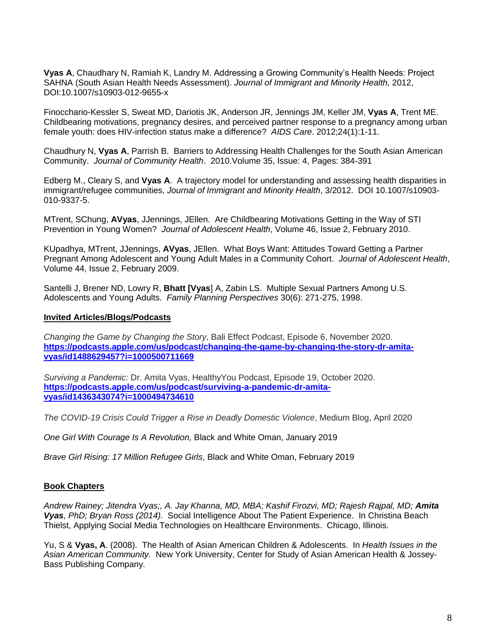**Vyas A**, Chaudhary N, Ramiah K, Landry M. Addressing a Growing Community's Health Needs: Project SAHNA (South Asian Health Needs Assessment). *Journal of Immigrant and Minority Health,* 2012, DOI:10.1007/s10903-012-9655-x

Finocchario-Kessler S, Sweat MD, Dariotis JK, Anderson JR, Jennings JM, Keller JM, **Vyas A**, Trent ME. [Childbearing motivations, pregnancy desires, and perceived partner response to a pregnancy among urban](http://www.ncbi.nlm.nih.gov/pubmed/21777077)  [female youth: does HIV-infection status make a difference?](http://www.ncbi.nlm.nih.gov/pubmed/21777077) *AIDS Care*. 2012;24(1):1-11.

Chaudhury N, **Vyas A**, Parrish B. Barriers to Addressing Health Challenges for the South Asian American Community. *Journal of Community Health*. 2010.Volume 35, Issue: 4, Pages: 384-391

Edberg M., Cleary S, and **Vyas A**. [A trajectory model for understanding and assessing health disparities in](http://www.springerlink.com/content/n615x0342j75h530/)  [immigrant/refugee](http://www.springerlink.com/content/n615x0342j75h530/) communities, *Journal of Immigrant and Minority Health*, 3/2012. DOI 10.1007/s10903- 010-9337-5.

MTrent, SChung, **AVyas**, JJennings, JEllen. Are Childbearing Motivations Getting in the Way of STI Prevention in Young Women? *Journal of Adolescent Health*, Volume 46, Issue 2, February 2010.

KUpadhya, MTrent, JJennings, **AVyas**, JEllen. What Boys Want: Attitudes Toward Getting a Partner Pregnant Among Adolescent and Young Adult Males in a Community Cohort. *Journal of Adolescent Health*, Volume 44, Issue 2, February 2009.

Santelli J, Brener ND, Lowry R, **Bhatt [Vyas**] A, Zabin LS. Multiple Sexual Partners Among U.S. Adolescents and Young Adults. *Family Planning Perspectives* 30(6): 271-275, 1998.

### **Invited Articles/Blogs/Podcasts**

*Changing the Game by Changing the Story,* Bali Effect Podcast, Episode 6, November 2020. **[https://podcasts.apple.com/us/podcast/changing-the-game-by-changing-the-story-dr-amita](https://podcasts.apple.com/us/podcast/changing-the-game-by-changing-the-story-dr-amita-vyas/id1488629457?i=1000500711669)[vyas/id1488629457?i=1000500711669](https://podcasts.apple.com/us/podcast/changing-the-game-by-changing-the-story-dr-amita-vyas/id1488629457?i=1000500711669)**

*Surviving a Pandemic:* Dr. Amita Vyas, HealthyYou Podcast, Episode 19, October 2020. **[https://podcasts.apple.com/us/podcast/surviving-a-pandemic-dr-amita](https://podcasts.apple.com/us/podcast/surviving-a-pandemic-dr-amita-vyas/id1436343074?i=1000494734610)[vyas/id1436343074?i=1000494734610](https://podcasts.apple.com/us/podcast/surviving-a-pandemic-dr-amita-vyas/id1436343074?i=1000494734610)**

*The COVID-19 Crisis Could Trigger a Rise in Deadly Domestic Violence*, Medium Blog, April 2020

*One Girl With Courage Is A Revolution,* Black and White Oman, January 2019

*Brave Girl Rising: 17 Million Refugee Girls*, Black and White Oman, February 2019

## **Book Chapters**

*Andrew Rainey; Jitendra Vyas;, A. Jay Khanna, MD, MBA; Kashif Firozvi, MD; Rajesh Rajpal, MD; Amita Vyas, PhD; Bryan Ross (2014).* Social Intelligence About The Patient Experience. In Christina Beach Thielst, Applying Social Media Technologies on Healthcare Environments. Chicago, Illinois.

Yu, S & **Vyas, A**. (2008). The Health of Asian American Children & Adolescents. In *Health Issues in the Asian American Community.* New York University, Center for Study of Asian American Health & Jossey-Bass Publishing Company.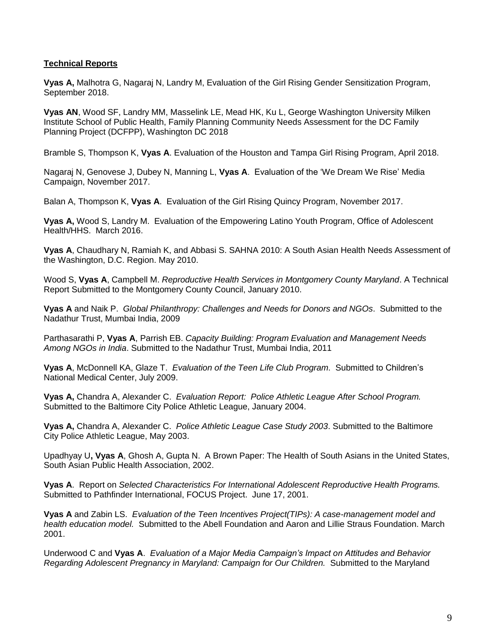## **Technical Reports**

**Vyas A,** Malhotra G, Nagaraj N, Landry M, Evaluation of the Girl Rising Gender Sensitization Program, September 2018.

**Vyas AN**, Wood SF, Landry MM, Masselink LE, Mead HK, Ku L, George Washington University Milken Institute School of Public Health, Family Planning Community Needs Assessment for the DC Family Planning Project (DCFPP), Washington DC 2018

Bramble S, Thompson K, **Vyas A**. Evaluation of the Houston and Tampa Girl Rising Program, April 2018.

Nagaraj N, Genovese J, Dubey N, Manning L, **Vyas A**. Evaluation of the 'We Dream We Rise' Media Campaign, November 2017.

Balan A, Thompson K, **Vyas A**. Evaluation of the Girl Rising Quincy Program, November 2017.

**Vyas A,** Wood S, Landry M. Evaluation of the Empowering Latino Youth Program, Office of Adolescent Health/HHS. March 2016.

**Vyas A**, Chaudhary N, Ramiah K, and Abbasi S. SAHNA 2010: A South Asian Health Needs Assessment of the Washington, D.C. Region. May 2010.

Wood S, **Vyas A**, Campbell M. *Reproductive Health Services in Montgomery County Maryland*. A Technical Report Submitted to the Montgomery County Council, January 2010.

**Vyas A** and Naik P. *Global Philanthropy: Challenges and Needs for Donors and NGOs*. Submitted to the Nadathur Trust, Mumbai India, 2009

Parthasarathi P, **Vyas A**, Parrish EB. *Capacity Building: Program Evaluation and Management Needs Among NGOs in India*. Submitted to the Nadathur Trust, Mumbai India, 2011

**Vyas A**, McDonnell KA, Glaze T. *Evaluation of the Teen Life Club Program*. Submitted to Children's National Medical Center, July 2009.

**Vyas A,** Chandra A, Alexander C. *Evaluation Report: Police Athletic League After School Program.* Submitted to the Baltimore City Police Athletic League, January 2004.

**Vyas A,** Chandra A, Alexander C. *Police Athletic League Case Study 2003*. Submitted to the Baltimore City Police Athletic League, May 2003.

Upadhyay U**, Vyas A**, Ghosh A, Gupta N. A Brown Paper: The Health of South Asians in the United States, South Asian Public Health Association, 2002.

**Vyas A**. Report on *Selected Characteristics For International Adolescent Reproductive Health Programs.* Submitted to Pathfinder International, FOCUS Project. June 17, 2001.

**Vyas A** and Zabin LS. *Evaluation of the Teen Incentives Project(TIPs): A case-management model and health education model.* Submitted to the Abell Foundation and Aaron and Lillie Straus Foundation. March 2001.

Underwood C and **Vyas A**. *Evaluation of a Major Media Campaign's Impact on Attitudes and Behavior Regarding Adolescent Pregnancy in Maryland: Campaign for Our Children.* Submitted to the Maryland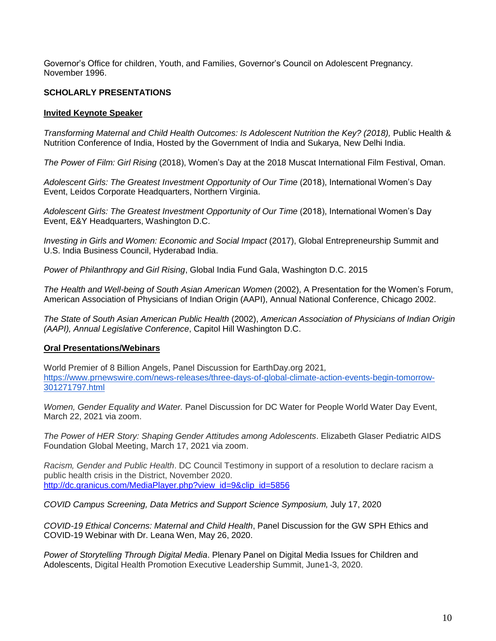Governor's Office for children, Youth, and Families, Governor's Council on Adolescent Pregnancy. November 1996.

## **SCHOLARLY PRESENTATIONS**

## **Invited Keynote Speaker**

*Transforming Maternal and Child Health Outcomes: Is Adolescent Nutrition the Key? (2018), Public Health &* Nutrition Conference of India, Hosted by the Government of India and Sukarya, New Delhi India.

*The Power of Film: Girl Rising* (2018), Women's Day at the 2018 Muscat International Film Festival, Oman.

*Adolescent Girls: The Greatest Investment Opportunity of Our Time* (2018), International Women's Day Event, Leidos Corporate Headquarters, Northern Virginia.

*Adolescent Girls: The Greatest Investment Opportunity of Our Time* (2018), International Women's Day Event, E&Y Headquarters, Washington D.C.

*Investing in Girls and Women: Economic and Social Impact* (2017), Global Entrepreneurship Summit and U.S. India Business Council, Hyderabad India.

*Power of Philanthropy and Girl Rising*, Global India Fund Gala, Washington D.C. 2015

*The Health and Well-being of South Asian American Women* (2002), A Presentation for the Women's Forum, American Association of Physicians of Indian Origin (AAPI), Annual National Conference, Chicago 2002.

*The State of South Asian American Public Health* (2002), *American Association of Physicians of Indian Origin (AAPI), Annual Legislative Conference*, Capitol Hill Washington D.C.

## **Oral Presentations/Webinars**

World Premier of 8 Billion Angels, Panel Discussion for EarthDay.org 2021*,*  [https://www.prnewswire.com/news-releases/three-days-of-global-climate-action-events-begin-tomorrow-](https://www.prnewswire.com/news-releases/three-days-of-global-climate-action-events-begin-tomorrow-301271797.html)[301271797.html](https://www.prnewswire.com/news-releases/three-days-of-global-climate-action-events-begin-tomorrow-301271797.html)

*Women, Gender Equality and Water.* Panel Discussion for DC Water for People World Water Day Event, March 22, 2021 via zoom.

*The Power of HER Story: Shaping Gender Attitudes among Adolescents*. Elizabeth Glaser Pediatric AIDS Foundation Global Meeting, March 17, 2021 via zoom.

*Racism, Gender and Public Health*. DC Council Testimony in support of a resolution to declare racism a public health crisis in the District, November 2020. [http://dc.granicus.com/MediaPlayer.php?view\\_id=9&clip\\_id=5856](http://dc.granicus.com/MediaPlayer.php?view_id=9&clip_id=5856)

*COVID Campus Screening, Data Metrics and Support Science Symposium,* July 17, 2020

*COVID-19 Ethical Concerns: Maternal and Child Health*, Panel Discussion for the GW SPH Ethics and COVID-19 Webinar with Dr. Leana Wen, May 26, 2020.

*Power of Storytelling Through Digital Media*. Plenary Panel on Digital Media Issues for Children and Adolescents, Digital Health Promotion Executive Leadership Summit, June1-3, 2020.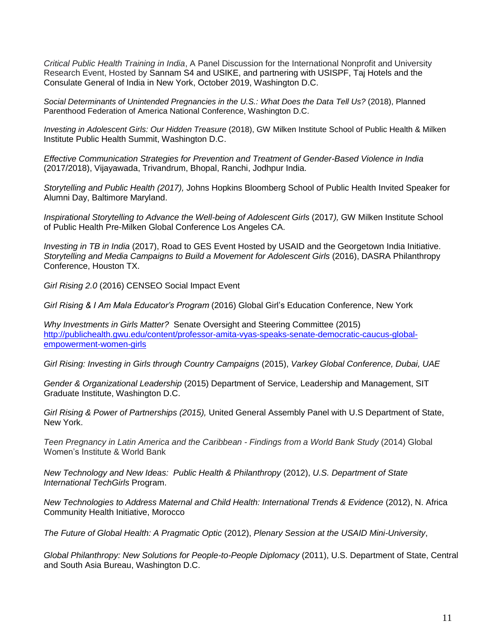*Critical Public Health Training in India*, A Panel Discussion for the International Nonprofit and University Research Event, Hosted by Sannam S4 and USIKE, and partnering with USISPF, Taj Hotels and the Consulate General of India in New York, October 2019, Washington D.C.

Social Determinants of Unintended Pregnancies in the U.S.: What Does the Data Tell Us? (2018), Planned Parenthood Federation of America National Conference, Washington D.C.

*Investing in Adolescent Girls: Our Hidden Treasure* (2018), GW Milken Institute School of Public Health & Milken Institute Public Health Summit, Washington D.C.

*Effective Communication Strategies for Prevention and Treatment of Gender-Based Violence in India* (2017/2018), Vijayawada, Trivandrum, Bhopal, Ranchi, Jodhpur India.

*Storytelling and Public Health (2017),* Johns Hopkins Bloomberg School of Public Health Invited Speaker for Alumni Day, Baltimore Maryland.

*Inspirational Storytelling to Advance the Well-being of Adolescent Girls* (2017*),* GW Milken Institute School of Public Health Pre-Milken Global Conference Los Angeles CA.

*Investing in TB in India* (2017), Road to GES Event Hosted by USAID and the Georgetown India Initiative. *Storytelling and Media Campaigns to Build a Movement for Adolescent Girls* (2016), DASRA Philanthropy Conference, Houston TX.

*Girl Rising 2.0* (2016) CENSEO Social Impact Event

*Girl Rising & I Am Mala Educator's Program* (2016) Global Girl's Education Conference, New York

*Why Investments in Girls Matter?* Senate Oversight and Steering Committee (2015) [http://publichealth.gwu.edu/content/professor-amita-vyas-speaks-senate-democratic-caucus-global](http://publichealth.gwu.edu/content/professor-amita-vyas-speaks-senate-democratic-caucus-global-empowerment-women-girls)[empowerment-women-girls](http://publichealth.gwu.edu/content/professor-amita-vyas-speaks-senate-democratic-caucus-global-empowerment-women-girls)

*Girl Rising: Investing in Girls through Country Campaigns* (2015), *Varkey Global Conference, Dubai, UAE* 

*Gender & Organizational Leadership* (2015) Department of Service, Leadership and Management, SIT Graduate Institute, Washington D.C.

*Girl Rising & Power of Partnerships (2015),* United General Assembly Panel with U.S Department of State, New York.

*Teen Pregnancy in Latin America and the Caribbean - Findings from a World Bank Study* (2014) Global Women's Institute & World Bank

*New Technology and New Ideas: Public Health & Philanthropy* (2012), *U.S. Department of State International TechGirls* Program.

*New Technologies to Address Maternal and Child Health: International Trends & Evidence* (2012), N. Africa Community Health Initiative, Morocco

*The Future of Global Health: A Pragmatic Optic* (2012), *Plenary Session at the USAID Mini-University*,

*Global Philanthropy: New Solutions for People-to-People Diplomacy* (2011), U.S. Department of State, Central and South Asia Bureau, Washington D.C.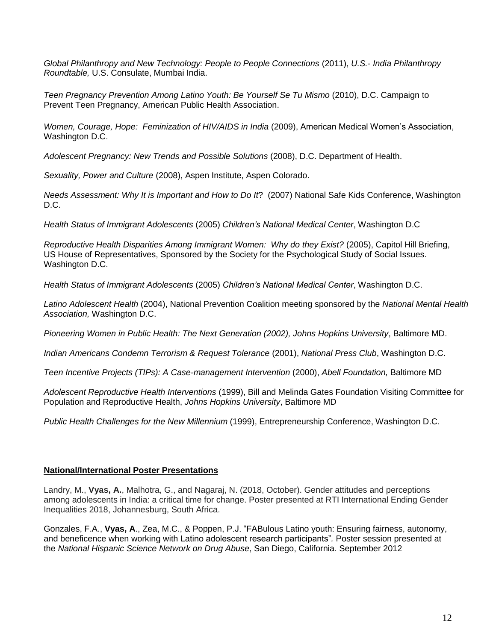*Global Philanthropy and New Technology: People to People Connections* (2011), *U.S.- India Philanthropy Roundtable,* U.S. Consulate, Mumbai India.

*Teen Pregnancy Prevention Among Latino Youth: Be Yourself Se Tu Mismo* (2010), D.C. Campaign to Prevent Teen Pregnancy, American Public Health Association.

*Women, Courage, Hope: Feminization of HIV/AIDS in India* (2009), American Medical Women's Association, Washington D.C.

*Adolescent Pregnancy: New Trends and Possible Solutions* (2008), D.C. Department of Health.

*Sexuality, Power and Culture* (2008), Aspen Institute, Aspen Colorado.

*Needs Assessment: Why It is Important and How to Do It*? (2007) National Safe Kids Conference, Washington D.C.

*Health Status of Immigrant Adolescents* (2005) *Children's National Medical Center*, Washington D.C

*Reproductive Health Disparities Among Immigrant Women: Why do they Exist?* (2005), Capitol Hill Briefing, US House of Representatives, Sponsored by the Society for the Psychological Study of Social Issues. Washington D.C.

*Health Status of Immigrant Adolescents* (2005) *Children's National Medical Center*, Washington D.C.

*Latino Adolescent Health* (2004), National Prevention Coalition meeting sponsored by the *National Mental Health Association,* Washington D.C.

*Pioneering Women in Public Health: The Next Generation (2002), Johns Hopkins University*, Baltimore MD.

*Indian Americans Condemn Terrorism & Request Tolerance* (2001), *National Press Club*, Washington D.C.

*Teen Incentive Projects (TIPs): A Case-management Intervention* (2000), *Abell Foundation,* Baltimore MD

*Adolescent Reproductive Health Interventions* (1999), Bill and Melinda Gates Foundation Visiting Committee for Population and Reproductive Health, *Johns Hopkins University*, Baltimore MD

*Public Health Challenges for the New Millennium* (1999), Entrepreneurship Conference, Washington D.C.

## **National/International Poster Presentations**

Landry, M., **Vyas, A.**, Malhotra, G., and Nagaraj, N. (2018, October). Gender attitudes and perceptions among adolescents in India: a critical time for change. Poster presented at RTI International Ending Gender Inequalities 2018, Johannesburg, South Africa.

Gonzales, F.A., **Vyas, A**., Zea, M.C., & Poppen, P.J. "FABulous Latino youth: Ensuring fairness, autonomy, and beneficence when working with Latino adolescent research participants"*.* Poster session presented at the *National Hispanic Science Network on Drug Abuse*, San Diego, California. September 2012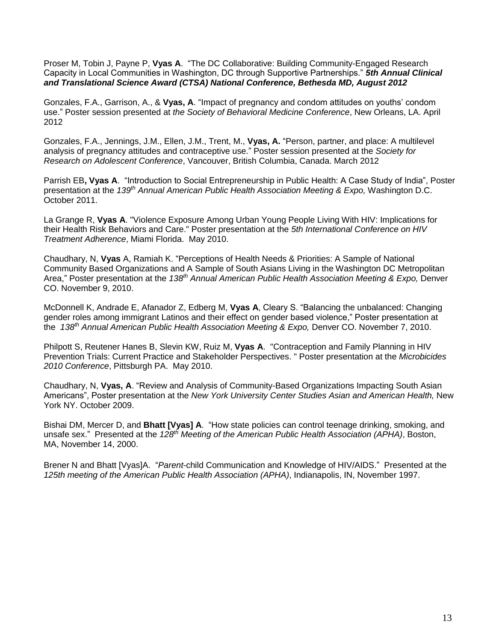Proser M, Tobin J, Payne P, **Vyas A**. "The DC Collaborative: Building Community-Engaged Research Capacity in Local Communities in Washington, DC through Supportive Partnerships." *5th Annual Clinical and Translational Science Award (CTSA) National Conference, Bethesda MD, August 2012*

Gonzales, F.A., Garrison, A., & **Vyas, A**. "Impact of pregnancy and condom attitudes on youths' condom use." Poster session presented at *the Society of Behavioral Medicine Conference*, New Orleans, LA. April 2012

Gonzales, F.A., Jennings, J.M., Ellen, J.M., Trent, M., **Vyas, A.** "Person, partner, and place: A multilevel analysis of pregnancy attitudes and contraceptive use." Poster session presented at the *Society for Research on Adolescent Conference*, Vancouver, British Columbia, Canada. March 2012

Parrish EB**, Vyas A**. "Introduction to Social Entrepreneurship in Public Health: A Case Study of India", Poster presentation at the *139th Annual American Public Health Association Meeting & Expo,* Washington D.C. October 2011.

La Grange R, **Vyas A**. "Violence Exposure Among Urban Young People Living With HIV: Implications for their Health Risk Behaviors and Care." Poster presentation at the *5th International Conference on HIV Treatment Adherence*, Miami Florida. May 2010.

Chaudhary, N, **Vyas** A, Ramiah K. ["Perceptions of Health Needs & Priorities: A Sample of National](http://apha.confex.com/apha/138am/webprogram/Paper225524.html)  Community Based Organizations and A Sample [of South Asians Living in the Washington DC Metropolitan](http://apha.confex.com/apha/138am/webprogram/Paper225524.html)  [Area,](http://apha.confex.com/apha/138am/webprogram/Paper225524.html)" Poster presentation at the *138th Annual American Public Health Association Meeting & Expo,* Denver CO. November 9, 2010.

McDonnell K, Andrade E, Afanador Z, Edberg M, **Vyas A**, Cleary S. "Balancing the unbalanced: Changing gender roles among immigrant Latinos and their effect on gender based violence," Poster presentation at the *138 th Annual American Public Health Association Meeting & Expo,* Denver CO. November 7, 2010.

Philpott S, Reutener Hanes B, Slevin KW, Ruiz M, **Vyas A**. "Contraception and Family Planning in HIV Prevention Trials: Current Practice and Stakeholder Perspectives. " Poster presentation at the *Microbicides 2010 Conference*, Pittsburgh PA. May 2010.

Chaudhary, N, **Vyas, A**. "Review and Analysis of Community-Based Organizations Impacting South Asian Americans", Poster presentation at the *New York University Center Studies Asian and American Health,* New York NY. October 2009.

Bishai DM, Mercer D, and **Bhatt [Vyas] A**. "How state policies can control teenage drinking, smoking, and unsafe sex." Presented at the *128th Meeting of the American Public Health Association (APHA)*, Boston, MA, November 14, 2000.

Brener N and Bhatt [Vyas]A. "*Parent*-child Communication and Knowledge of HIV/AIDS." Presented at the *125th meeting of the American Public Health Association (APHA)*, Indianapolis, IN, November 1997.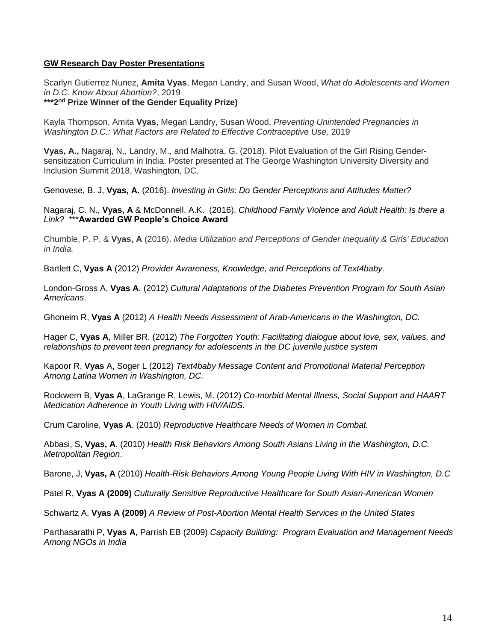## **GW Research Day Poster Presentations**

Scarlyn Gutierrez Nunez, **Amita Vyas**, Megan Landry, and Susan Wood, *What do Adolescents and Women in D.C. Know About Abortion?*, 2019

### **\*\*\*2nd Prize Winner of the Gender Equality Prize)**

Kayla Thompson, Amita **Vyas**, Megan Landry, Susan Wood, *Preventing Unintended Pregnancies in Washington D.C.: What Factors are Related to Effective Contraceptive Use, 2019* 

**Vyas, A.,** Nagaraj, N., Landry, M., and Malhotra, G. (2018). Pilot Evaluation of the Girl Rising Gendersensitization Curriculum in India. Poster presented at The George Washington University Diversity and Inclusion Summit 2018, Washington, DC.

Genovese, B. J, **Vyas, A.** (2016). *Investing in Girls: Do Gender Perceptions and Attitudes Matter?*

Nagaraj, C. N., **Vyas, A** & McDonnell, A.K. (2016). *Childhood Family Violence and Adult Health: Is there a Link?* \*\*\***Awarded GW People's Choice Award**

Chumble, P. P. & **Vyas, A** (2016). *Media Utilization and Perceptions of Gender Inequality & Girls' Education in India.*

Bartlett C, **Vyas A** (2012) *Provider Awareness, Knowledge, and Perceptions of Text4baby.*

London-Gross A, **Vyas A**. (2012) *Cultural Adaptations of the Diabetes Prevention Program for South Asian Americans*.

Ghoneim R, **Vyas A** (2012) *A Health Needs Assessment of Arab-Americans in the Washington, DC.*

Hager C, **Vyas A**, Miller BR. (2012) *The Forgotten Youth: Facilitating dialogue about love, sex, values, and relationships to prevent teen pregnancy for adolescents in the DC juvenile justice system*

Kapoor R, **Vyas** A, Soger L (2012) *Text4baby Message Content and Promotional Material Perception Among Latina Women in Washington, DC.*

Rockwern B, **Vyas A**, LaGrange R, Lewis, M. (2012) *Co-morbid Mental Illness, Social Support and HAART Medication Adherence in Youth Living with HIV/AIDS.*

Crum Caroline, **Vyas A**. (2010) *Reproductive Healthcare Needs of Women in Combat.*

Abbasi, S, **Vyas, A**. (2010) *Health Risk Behaviors Among South Asians Living in the Washington, D.C. Metropolitan Region*.

Barone, J, **Vyas, A** (2010) *Health-Risk Behaviors Among Young People Living With HIV in Washington, D.C*

Patel R, **Vyas A (2009)** *Culturally Sensitive Reproductive Healthcare for South Asian-American Women*

Schwartz A, **Vyas A (2009)** *A Review of Post-Abortion Mental Health Services in the United States*

Parthasarathi P, **Vyas A**, Parrish EB (2009) *Capacity Building: Program Evaluation and Management Needs Among NGOs in India*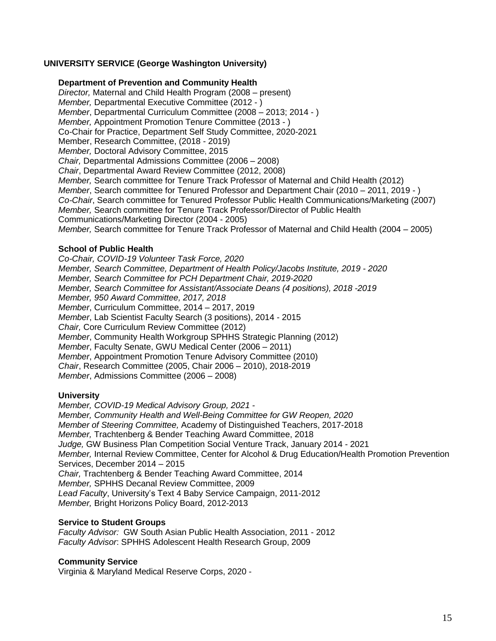## **UNIVERSITY SERVICE (George Washington University)**

#### **Department of Prevention and Community Health**

*Director,* Maternal and Child Health Program (2008 – present) *Member,* Departmental Executive Committee (2012 - ) *Member*, Departmental Curriculum Committee (2008 – 2013; 2014 - ) *Member,* Appointment Promotion Tenure Committee (2013 - ) Co-Chair for Practice, Department Self Study Committee, 2020-2021 Member, Research Committee, (2018 - 2019) *Member,* Doctoral Advisory Committee, 2015 *Chair,* Departmental Admissions Committee (2006 – 2008) *Chair*, Departmental Award Review Committee (2012, 2008) *Member,* Search committee for Tenure Track Professor of Maternal and Child Health (2012) *Member*, Search committee for Tenured Professor and Department Chair (2010 – 2011, 2019 - ) *Co-Chair*, Search committee for Tenured Professor Public Health Communications/Marketing (2007) *Member,* Search committee for Tenure Track Professor/Director of Public Health Communications/Marketing Director (2004 - 2005) *Member,* Search committee for Tenure Track Professor of Maternal and Child Health (2004 – 2005)

### **School of Public Health**

*Co-Chair, COVID-19 Volunteer Task Force, 2020 Member, Search Committee, Department of Health Policy/Jacobs Institute, 2019 - 2020 Member, Search Committee for PCH Department Chair, 2019-2020 Member, Search Committee for Assistant/Associate Deans (4 positions), 2018 -2019 Member, 950 Award Committee, 2017, 2018 Member*, Curriculum Committee, 2014 – 2017, 2019 *Member*, Lab Scientist Faculty Search (3 positions), 2014 - 2015 *Chair,* Core Curriculum Review Committee (2012) *Member*, Community Health Workgroup SPHHS Strategic Planning (2012) *Member*, Faculty Senate, GWU Medical Center (2006 – 2011) *Member*, Appointment Promotion Tenure Advisory Committee (2010) *Chair*, Research Committee (2005, Chair 2006 – 2010), 2018-2019 *Member*, Admissions Committee (2006 – 2008)

## **University**

*Member, COVID-19 Medical Advisory Group, 2021 - Member, Community Health and Well-Being Committee for GW Reopen, 2020 Member of Steering Committee,* Academy of Distinguished Teachers, 2017-2018 *Member,* Trachtenberg & Bender Teaching Award Committee, 2018 *Judge,* GW Business Plan Competition Social Venture Track, January 2014 - 2021 *Member,* Internal Review Committee, Center for Alcohol & Drug Education/Health Promotion Prevention Services, December 2014 – 2015 *Chair,* Trachtenberg & Bender Teaching Award Committee, 2014 *Member,* SPHHS Decanal Review Committee, 2009 *Lead Faculty*, University's Text 4 Baby Service Campaign, 2011-2012 *Member,* Bright Horizons Policy Board, 2012-2013

## **Service to Student Groups**

*Faculty Advisor:* GW South Asian Public Health Association, 2011 - 2012 *Faculty Advisor*: SPHHS Adolescent Health Research Group, 2009

#### **Community Service**

Virginia & Maryland Medical Reserve Corps, 2020 -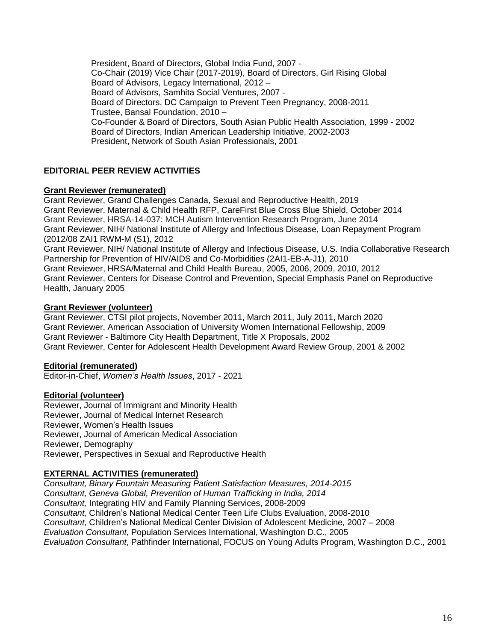President, Board of Directors, Global India Fund, 2007 - Co-Chair (2019) Vice Chair (2017-2019), Board of Directors, Girl Rising Global Board of Advisors, Legacy International, 2012 – Board of Advisors, Samhita Social Ventures, 2007 - Board of Directors, DC Campaign to Prevent Teen Pregnancy, 2008-2011 Trustee, Bansal Foundation, 2010 – Co-Founder & Board of Directors, South Asian Public Health Association, 1999 - 2002 Board of Directors, Indian American Leadership Initiative, 2002-2003 President, Network of South Asian Professionals, 2001

# **EDITORIAL PEER REVIEW ACTIVITIES**

### **Grant Reviewer (remunerated)**

Grant Reviewer, Grand Challenges Canada, Sexual and Reproductive Health, 2019 Grant Reviewer, Maternal & Child Health RFP, CareFirst Blue Cross Blue Shield, October 2014 Grant Reviewer, HRSA-14-037: MCH Autism Intervention Research Program, June 2014 Grant Reviewer, NIH/ National Institute of Allergy and Infectious Disease, Loan Repayment Program (2012/08 ZAI1 RWM-M (S1), 2012 Grant Reviewer, NIH/ National Institute of Allergy and Infectious Disease, U.S. India Collaborative Research Partnership for Prevention of HIV/AIDS and Co-Morbidities (2AI1-EB-A-J1), 2010 Grant Reviewer, HRSA/Maternal and Child Health Bureau, 2005, 2006, 2009, 2010, 2012 Grant Reviewer, Centers for Disease Control and Prevention, Special Emphasis Panel on Reproductive Health, January 2005

### **Grant Reviewer (volunteer)**

Grant Reviewer, CTSI pilot projects, November 2011, March 2011, July 2011, March 2020 Grant Reviewer, American Association of University Women International Fellowship, 2009 Grant Reviewer - Baltimore City Health Department, Title X Proposals, 2002 Grant Reviewer, Center for Adolescent Health Development Award Review Group, 2001 & 2002

## **Editorial (remunerated)**

Editor-in-Chief, *Women's Health Issues*, 2017 - 2021

## **Editorial (volunteer)**

Reviewer, Journal of Immigrant and Minority Health Reviewer, Journal of Medical Internet Research Reviewer, Women's Health Issues Reviewer, Journal of American Medical Association Reviewer, Demography Reviewer, Perspectives in Sexual and Reproductive Health

## **EXTERNAL ACTIVITIES (remunerated)**

*Consultant, Binary Fountain Measuring Patient Satisfaction Measures, 2014-2015 Consultant, Geneva Global, Prevention of Human Trafficking in India, 2014 Consultant,* Integrating HIV and Family Planning Services, 2008-2009 *Consultant,* Children's National Medical Center Teen Life Clubs Evaluation, 2008-2010 *Consultant,* Children's National Medical Center Division of Adolescent Medicine*,* 2007 – 2008 *Evaluation Consultant,* Population Services International, Washington D.C., 2005 *Evaluation Consultant*, Pathfinder International, FOCUS on Young Adults Program, Washington D.C., 2001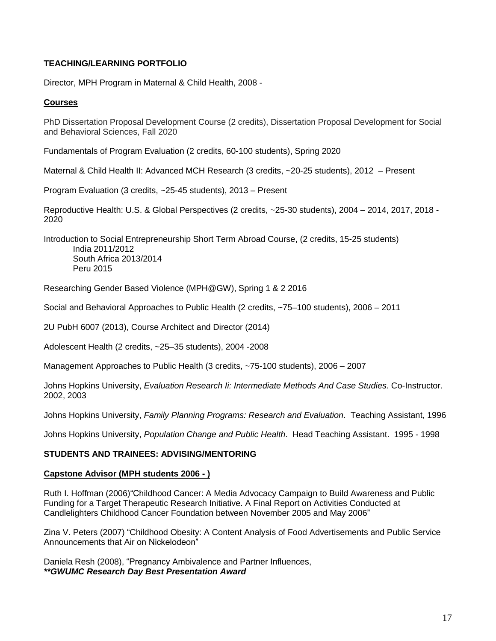# **TEACHING/LEARNING PORTFOLIO**

Director, MPH Program in Maternal & Child Health, 2008 -

# **Courses**

PhD Dissertation Proposal Development Course (2 credits), Dissertation Proposal Development for Social and Behavioral Sciences, Fall 2020

Fundamentals of Program Evaluation (2 credits, 60-100 students), Spring 2020

Maternal & Child Health II: Advanced MCH Research (3 credits, ~20-25 students), 2012 – Present

Program Evaluation (3 credits, ~25-45 students), 2013 – Present

Reproductive Health: U.S. & Global Perspectives (2 credits, ~25-30 students), 2004 – 2014, 2017, 2018 - 2020

Introduction to Social Entrepreneurship Short Term Abroad Course, (2 credits, 15-25 students) India 2011/2012 South Africa 2013/2014 Peru 2015

Researching Gender Based Violence (MPH@GW), Spring 1 & 2 2016

Social and Behavioral Approaches to Public Health (2 credits, ~75–100 students), 2006 – 2011

2U PubH 6007 (2013), Course Architect and Director (2014)

Adolescent Health (2 credits, ~25–35 students), 2004 -2008

Management Approaches to Public Health (3 credits, ~75-100 students), 2006 – 2007

Johns Hopkins University, *Evaluation Research Ii: Intermediate Methods And Case Studies.* Co-Instructor. 2002, 2003

Johns Hopkins University, *Family Planning Programs: Research and Evaluation*. Teaching Assistant, 1996

Johns Hopkins University, *Population Change and Public Health*. Head Teaching Assistant. 1995 - 1998

## **STUDENTS AND TRAINEES: ADVISING/MENTORING**

#### **Capstone Advisor (MPH students 2006 - )**

Ruth I. Hoffman (2006)"Childhood Cancer: A Media Advocacy Campaign to Build Awareness and Public Funding for a Target Therapeutic Research Initiative. A Final Report on Activities Conducted at Candlelighters Childhood Cancer Foundation between November 2005 and May 2006"

Zina V. Peters (2007) "Childhood Obesity: A Content Analysis of Food Advertisements and Public Service Announcements that Air on Nickelodeon"

Daniela Resh (2008), "Pregnancy Ambivalence and Partner Influences, *\*\*GWUMC Research Day Best Presentation Award*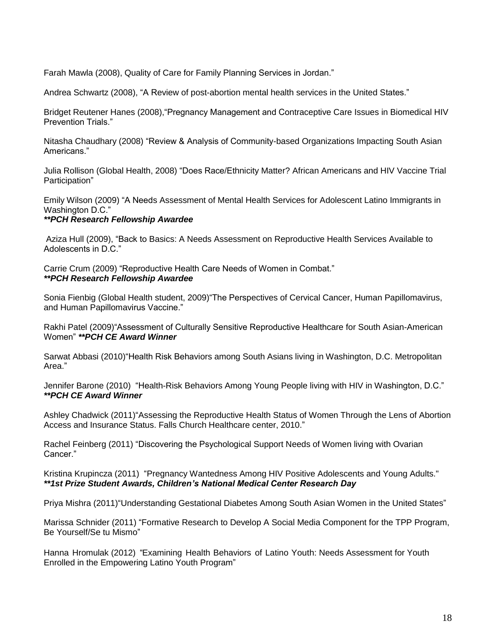Farah Mawla (2008), Quality of Care for Family Planning Services in Jordan."

Andrea Schwartz (2008), "A Review of post-abortion mental health services in the United States."

Bridget Reutener Hanes (2008),"Pregnancy Management and Contraceptive Care Issues in Biomedical HIV Prevention Trials."

Nitasha Chaudhary (2008) "Review & Analysis of Community-based Organizations Impacting South Asian Americans."

Julia Rollison (Global Health, 2008) "Does Race/Ethnicity Matter? African Americans and HIV Vaccine Trial Participation"

Emily Wilson (2009) "A Needs Assessment of Mental Health Services for Adolescent Latino Immigrants in Washington D.C."

### *\*\*PCH Research Fellowship Awardee*

Aziza Hull (2009), "Back to Basics: A Needs Assessment on Reproductive Health Services Available to Adolescents in D.C."

Carrie Crum (2009) "Reproductive Health Care Needs of Women in Combat." *\*\*PCH Research Fellowship Awardee*

Sonia Fienbig (Global Health student, 2009)"The Perspectives of Cervical Cancer, Human Papillomavirus, and Human Papillomavirus Vaccine."

Rakhi Patel (2009)"Assessment of Culturally Sensitive Reproductive Healthcare for South Asian-American Women" *\*\*PCH CE Award Winner*

Sarwat Abbasi (2010)"Health Risk Behaviors among South Asians living in Washington, D.C. Metropolitan Area."

Jennifer Barone (2010) "Health-Risk Behaviors Among Young People living with HIV in Washington, D.C." *\*\*PCH CE Award Winner*

Ashley Chadwick (2011)"Assessing the Reproductive Health Status of Women Through the Lens of Abortion Access and Insurance Status. Falls Church Healthcare center, 2010."

Rachel Feinberg (2011) "Discovering the Psychological Support Needs of Women living with Ovarian Cancer."

Kristina Krupincza (2011) "Pregnancy Wantedness Among HIV Positive Adolescents and Young Adults." *\*\*1st Prize Student Awards, Children's National Medical Center Research Day*

Priya Mishra (2011)"Understanding Gestational Diabetes Among South Asian Women in the United States"

Marissa Schnider (2011) "Formative Research to Develop A Social Media Component for the TPP Program, Be Yourself/Se tu Mismo"

Hanna Hromulak (2012) "Examining Health Behaviors of Latino Youth: Needs Assessment for Youth Enrolled in the Empowering Latino Youth Program"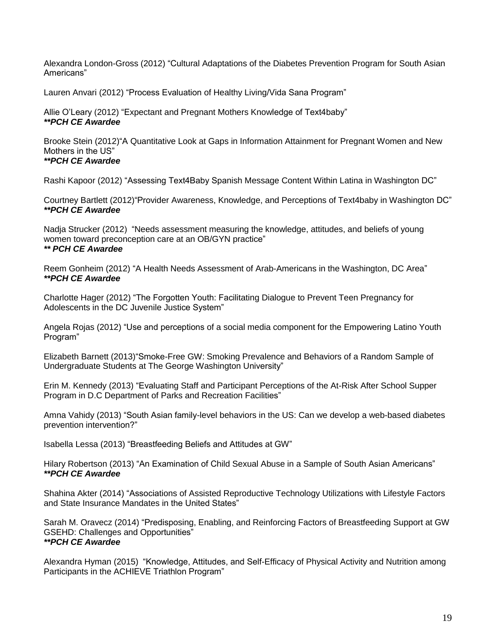Alexandra London-Gross (2012) "Cultural Adaptations of the Diabetes Prevention Program for South Asian Americans"

Lauren Anvari (2012) "Process Evaluation of Healthy Living/Vida Sana Program"

Allie O'Leary (2012) "Expectant and Pregnant Mothers Knowledge of Text4baby" *\*\*PCH CE Awardee*

Brooke Stein (2012)"A Quantitative Look at Gaps in Information Attainment for Pregnant Women and New Mothers in the US"

# *\*\*PCH CE Awardee*

Rashi Kapoor (2012) "Assessing Text4Baby Spanish Message Content Within Latina in Washington DC"

Courtney Bartlett (2012)"Provider Awareness, Knowledge, and Perceptions of Text4baby in Washington DC" *\*\*PCH CE Awardee*

Nadja Strucker (2012) "Needs assessment measuring the knowledge, attitudes, and beliefs of young women toward preconception care at an OB/GYN practice" *\*\* PCH CE Awardee*

Reem Gonheim (2012) "A Health Needs Assessment of Arab-Americans in the Washington, DC Area" *\*\*PCH CE Awardee*

Charlotte Hager (2012) "The Forgotten Youth: Facilitating Dialogue to Prevent Teen Pregnancy for Adolescents in the DC Juvenile Justice System"

Angela Rojas (2012) "Use and perceptions of a social media component for the Empowering Latino Youth Program"

Elizabeth Barnett (2013)"Smoke-Free GW: Smoking Prevalence and Behaviors of a Random Sample of Undergraduate Students at The George Washington University"

Erin M. Kennedy (2013) "Evaluating Staff and Participant Perceptions of the At-Risk After School Supper Program in D.C Department of Parks and Recreation Facilities"

Amna Vahidy (2013) "South Asian family-level behaviors in the US: Can we develop a web-based diabetes prevention intervention?"

Isabella Lessa (2013) "Breastfeeding Beliefs and Attitudes at GW"

Hilary Robertson (2013) "An Examination of Child Sexual Abuse in a Sample of South Asian Americans" *\*\*PCH CE Awardee*

Shahina Akter (2014) "Associations of Assisted Reproductive Technology Utilizations with Lifestyle Factors and State Insurance Mandates in the United States"

Sarah M. Oravecz (2014) "Predisposing, Enabling, and Reinforcing Factors of Breastfeeding Support at GW GSEHD: Challenges and Opportunities" *\*\*PCH CE Awardee*

Alexandra Hyman (2015) "Knowledge, Attitudes, and Self-Efficacy of Physical Activity and Nutrition among Participants in the ACHIEVE Triathlon Program"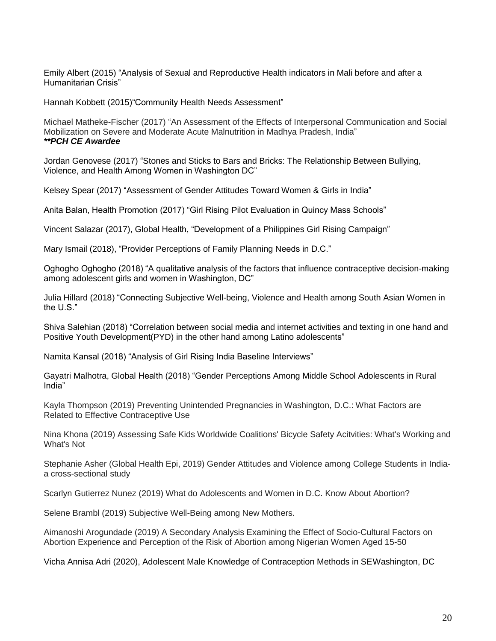Emily Albert (2015) "Analysis of Sexual and Reproductive Health indicators in Mali before and after a Humanitarian Crisis"

Hannah Kobbett (2015)"Community Health Needs Assessment"

Michael Matheke-Fischer (2017) "An Assessment of the Effects of Interpersonal Communication and Social Mobilization on Severe and Moderate Acute Malnutrition in Madhya Pradesh, India" *\*\*PCH CE Awardee*

Jordan Genovese (2017) "Stones and Sticks to Bars and Bricks: The Relationship Between Bullying, Violence, and Health Among Women in Washington DC"

Kelsey Spear (2017) "Assessment of Gender Attitudes Toward Women & Girls in India"

Anita Balan, Health Promotion (2017) "Girl Rising Pilot Evaluation in Quincy Mass Schools"

Vincent Salazar (2017), Global Health, "Development of a Philippines Girl Rising Campaign"

Mary Ismail (2018), "Provider Perceptions of Family Planning Needs in D.C."

Oghogho Oghogho (2018) "A qualitative analysis of the factors that influence contraceptive decision-making among adolescent girls and women in Washington, DC"

Julia Hillard (2018) "Connecting Subjective Well-being, Violence and Health among South Asian Women in the U.S."

Shiva Salehian (2018) "Correlation between social media and internet activities and texting in one hand and Positive Youth Development(PYD) in the other hand among Latino adolescents"

Namita Kansal (2018) "Analysis of Girl Rising India Baseline Interviews"

Gayatri Malhotra, Global Health (2018) "Gender Perceptions Among Middle School Adolescents in Rural India"

Kayla Thompson (2019) Preventing Unintended Pregnancies in Washington, D.C.: What Factors are Related to Effective Contraceptive Use

Nina Khona (2019) Assessing Safe Kids Worldwide Coalitions' Bicycle Safety Acitvities: What's Working and What's Not

Stephanie Asher (Global Health Epi, 2019) Gender Attitudes and Violence among College Students in Indiaa cross-sectional study

Scarlyn Gutierrez Nunez (2019) What do Adolescents and Women in D.C. Know About Abortion?

Selene Brambl (2019) Subjective Well-Being among New Mothers.

Aimanoshi Arogundade (2019) A Secondary Analysis Examining the Effect of Socio-Cultural Factors on Abortion Experience and Perception of the Risk of Abortion among Nigerian Women Aged 15-50

Vicha Annisa Adri (2020), Adolescent Male Knowledge of Contraception Methods in SEWashington, DC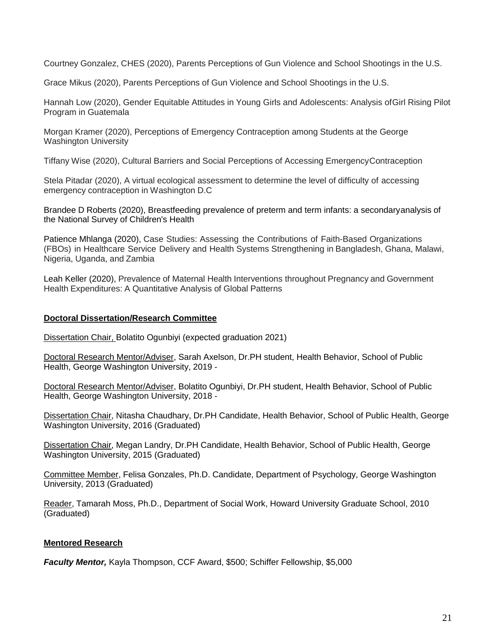Courtney Gonzalez, CHES (2020), Parents Perceptions of Gun Violence and School Shootings in the U.S.

Grace Mikus (2020), Parents Perceptions of Gun Violence and School Shootings in the U.S.

Hannah Low (2020), Gender Equitable Attitudes in Young Girls and Adolescents: Analysis ofGirl Rising Pilot Program in Guatemala

Morgan Kramer (2020), Perceptions of Emergency Contraception among Students at the George Washington University

Tiffany Wise (2020), Cultural Barriers and Social Perceptions of Accessing EmergencyContraception

Stela Pitadar (2020), A virtual ecological assessment to determine the level of difficulty of accessing emergency contraception in Washington D.C

Brandee D Roberts (2020), Breastfeeding prevalence of preterm and term infants: a secondaryanalysis of the National Survey of Children's Health

Patience Mhlanga (2020), Case Studies: Assessing the Contributions of Faith-Based Organizations (FBOs) in Healthcare Service Delivery and Health Systems Strengthening in Bangladesh, Ghana, Malawi, Nigeria, Uganda, and Zambia

Leah Keller (2020), Prevalence of Maternal Health Interventions throughout Pregnancy and Government Health Expenditures: A Quantitative Analysis of Global Patterns

## **Doctoral Dissertation/Research Committee**

Dissertation Chair, Bolatito Ogunbiyi (expected graduation 2021)

Doctoral Research Mentor/Adviser, Sarah Axelson, Dr.PH student, Health Behavior, School of Public Health, George Washington University, 2019 -

Doctoral Research Mentor/Adviser, Bolatito Ogunbiyi, Dr.PH student, Health Behavior, School of Public Health, George Washington University, 2018 -

Dissertation Chair, Nitasha Chaudhary, Dr.PH Candidate, Health Behavior, School of Public Health, George Washington University, 2016 (Graduated)

Dissertation Chair, Megan Landry, Dr.PH Candidate, Health Behavior, School of Public Health, George Washington University, 2015 (Graduated)

Committee Member, Felisa Gonzales, Ph.D. Candidate, Department of Psychology, George Washington University, 2013 (Graduated)

Reader, Tamarah Moss, Ph.D., Department of Social Work, Howard University Graduate School, 2010 (Graduated)

# **Mentored Research**

*Faculty Mentor,* Kayla Thompson, CCF Award, \$500; Schiffer Fellowship, \$5,000